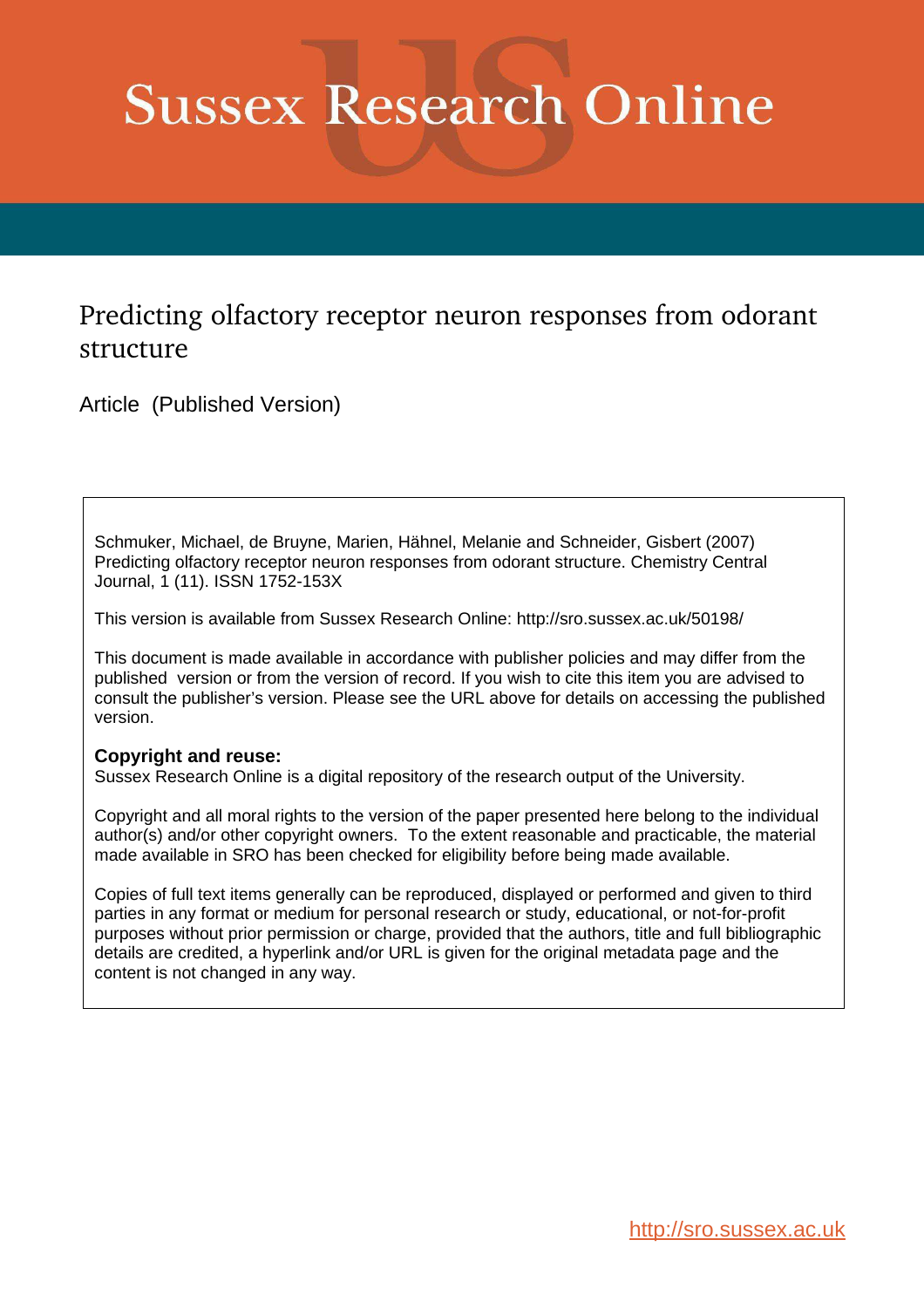# **Sussex Research Online**

## Predicting olfactory receptor neuron responses from odorant structure

Article (Published Version)

Schmuker, Michael, de Bruyne, Marien, Hähnel, Melanie and Schneider, Gisbert (2007) Predicting olfactory receptor neuron responses from odorant structure. Chemistry Central Journal, 1 (11). ISSN 1752-153X

This version is available from Sussex Research Online: http://sro.sussex.ac.uk/50198/

This document is made available in accordance with publisher policies and may differ from the published version or from the version of record. If you wish to cite this item you are advised to consult the publisher's version. Please see the URL above for details on accessing the published version.

#### **Copyright and reuse:**

Sussex Research Online is a digital repository of the research output of the University.

Copyright and all moral rights to the version of the paper presented here belong to the individual author(s) and/or other copyright owners. To the extent reasonable and practicable, the material made available in SRO has been checked for eligibility before being made available.

Copies of full text items generally can be reproduced, displayed or performed and given to third parties in any format or medium for personal research or study, educational, or not-for-profit purposes without prior permission or charge, provided that the authors, title and full bibliographic details are credited, a hyperlink and/or URL is given for the original metadata page and the content is not changed in any way.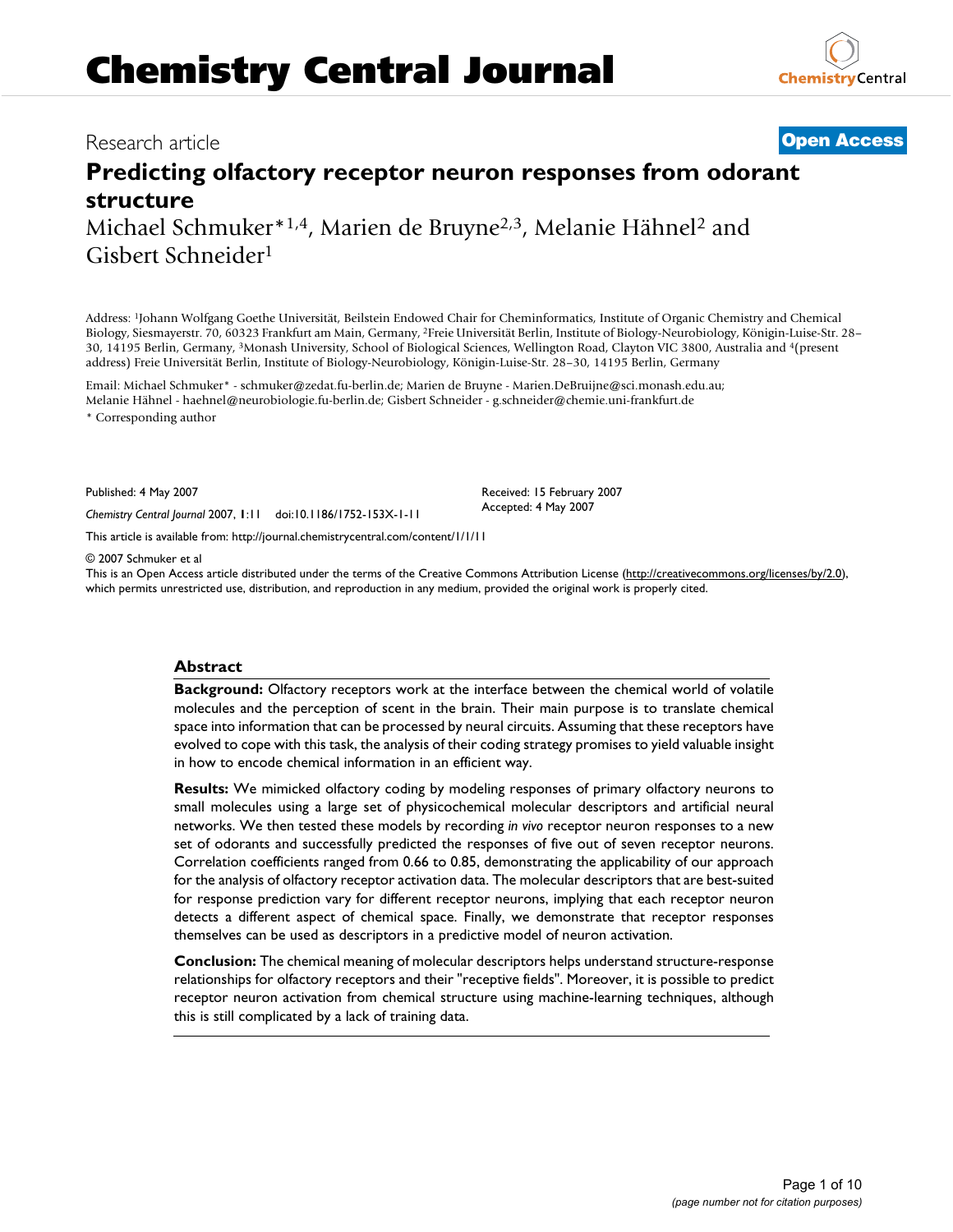## Chemistry Central Journal



#### Research article **[Open Access](http://www.biomedcentral.com/info/about/charter/)**

### **Predicting olfactory receptor neuron responses from odorant structure** Michael Schmuker\*1,4, Marien de Bruyne2,3, Melanie Hähnel<sup>2</sup> and

Gisbert Schneider<sup>1</sup>

Address: <sup>1</sup>Johann Wolfgang Goethe Universität, Beilstein Endowed Chair for Cheminformatics, Institute of Organic Chemistry and Chemical Biology, Siesmayerstr. 70, 60323 Frankfurt am Main, Germany, <sup>2</sup>Freie Universität Berlin, Institute of Biology-Neurobiology, Königin-Luise-Str. 28– 30, 14195 Berlin, Germany, <sup>3</sup>Monash University, School of Biological Sciences, Wellington Road, Clayton VIC 3800, Australia and <sup>4</sup>(present address) Freie Universität Berlin, Institute of Biology-Neurobiology, Königin-Luise-Str. 28–30, 14195 Berlin, Germany

Email: Michael Schmuker\* - schmuker@zedat.fu-berlin.de; Marien de Bruyne - Marien.DeBruijne@sci.monash.edu.au; Melanie Hähnel - haehnel@neurobiologie.fu-berlin.de; Gisbert Schneider - g.schneider@chemie.uni-frankfurt.de

\* Corresponding author

Published: 4 May 2007

*Chemistry Central Journal* 2007, **1**:11 doi:10.1186/1752-153X-1-11

[This article is available from: http://journal.chemistrycentral.com/content/1/1/11](http://journal.chemistrycentral.com/content/1/1/11)

© 2007 Schmuker et al

This is an Open Access article distributed under the terms of the Creative Commons Attribution License [\(http://creativecommons.org/licenses/by/2.0\)](http://creativecommons.org/licenses/by/2.0), which permits unrestricted use, distribution, and reproduction in any medium, provided the original work is properly cited.

Received: 15 February 2007 Accepted: 4 May 2007

#### **Abstract**

**Background:** Olfactory receptors work at the interface between the chemical world of volatile molecules and the perception of scent in the brain. Their main purpose is to translate chemical space into information that can be processed by neural circuits. Assuming that these receptors have evolved to cope with this task, the analysis of their coding strategy promises to yield valuable insight in how to encode chemical information in an efficient way.

**Results:** We mimicked olfactory coding by modeling responses of primary olfactory neurons to small molecules using a large set of physicochemical molecular descriptors and artificial neural networks. We then tested these models by recording *in vivo* receptor neuron responses to a new set of odorants and successfully predicted the responses of five out of seven receptor neurons. Correlation coefficients ranged from 0.66 to 0.85, demonstrating the applicability of our approach for the analysis of olfactory receptor activation data. The molecular descriptors that are best-suited for response prediction vary for different receptor neurons, implying that each receptor neuron detects a different aspect of chemical space. Finally, we demonstrate that receptor responses themselves can be used as descriptors in a predictive model of neuron activation.

**Conclusion:** The chemical meaning of molecular descriptors helps understand structure-response relationships for olfactory receptors and their "receptive fields". Moreover, it is possible to predict receptor neuron activation from chemical structure using machine-learning techniques, although this is still complicated by a lack of training data.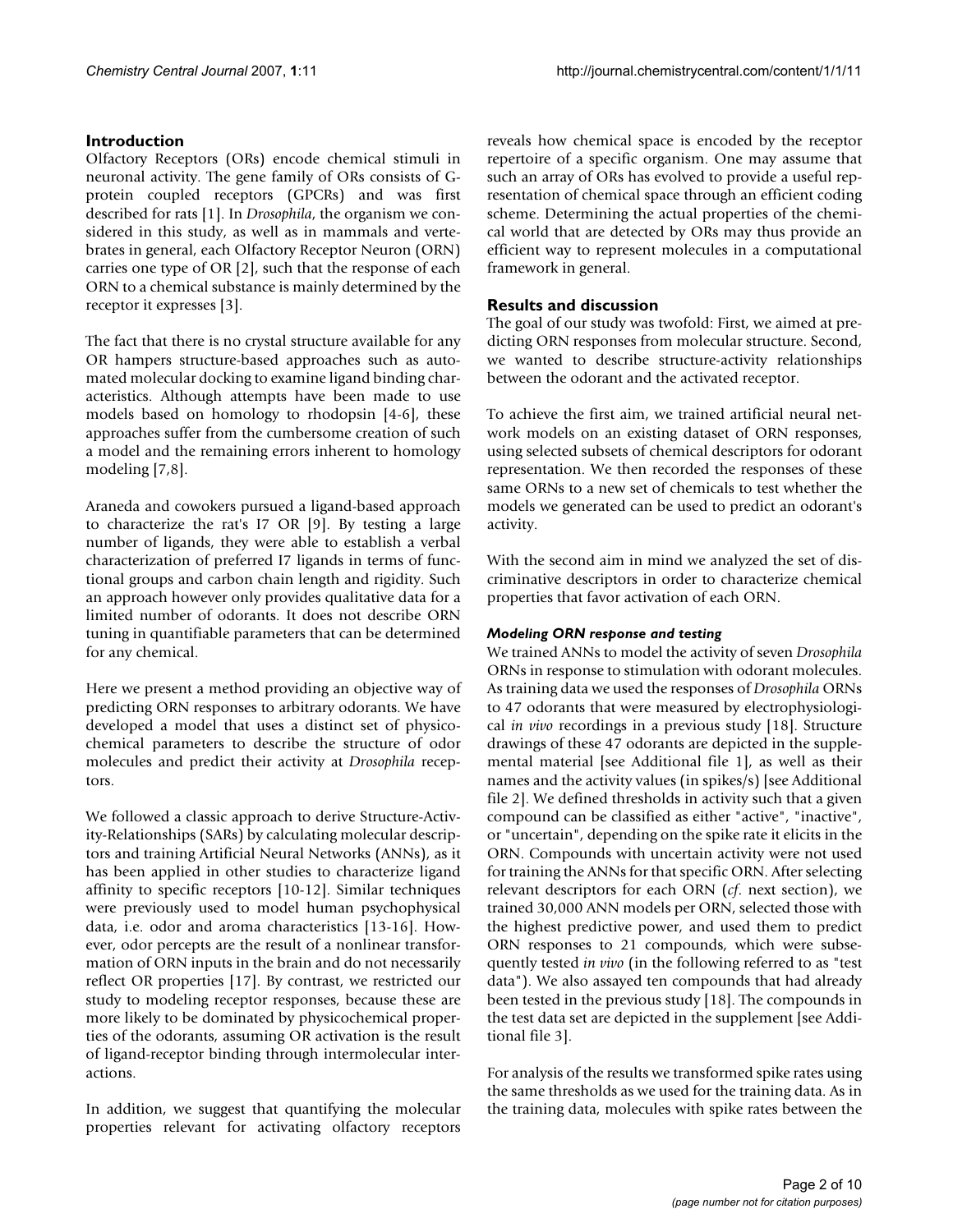#### **Introduction**

Olfactory Receptors (ORs) encode chemical stimuli in neuronal activity. The gene family of ORs consists of Gprotein coupled receptors (GPCRs) and was first described for rats [1]. In *Drosophila*, the organism we considered in this study, as well as in mammals and vertebrates in general, each Olfactory Receptor Neuron (ORN) carries one type of OR [2], such that the response of each ORN to a chemical substance is mainly determined by the receptor it expresses [[3](#page-9-0)].

The fact that there is no crystal structure available for any OR hampers structure-based approaches such as automated molecular docking to examine ligand binding characteristics. Although attempts have been made to use models based on homology to rhodopsin [4-6], these approaches suffer from the cumbersome creation of such a model and the remaining errors inherent to homology modeling [7,8].

Araneda and cowokers pursued a ligand-based approach to characterize the rat's I7 OR [9]. By testing a large number of ligands, they were able to establish a verbal characterization of preferred I7 ligands in terms of functional groups and carbon chain length and rigidity. Such an approach however only provides qualitative data for a limited number of odorants. It does not describe ORN tuning in quantifiable parameters that can be determined for any chemical.

Here we present a method providing an objective way of predicting ORN responses to arbitrary odorants. We have developed a model that uses a distinct set of physicochemical parameters to describe the structure of odor molecules and predict their activity at *Drosophila* receptors.

We followed a classic approach to derive Structure-Activity-Relationships (SARs) by calculating molecular descriptors and training Artificial Neural Networks (ANNs), as it has been applied in other studies to characterize ligand affinity to specific receptors [10-12]. Similar techniques were previously used to model human psychophysical data, i.e. odor and aroma characteristics [13-16]. However, odor percepts are the result of a nonlinear transformation of ORN inputs in the brain and do not necessarily reflect OR properties [17]. By contrast, we restricted our study to modeling receptor responses, because these are more likely to be dominated by physicochemical properties of the odorants, assuming OR activation is the result of ligand-receptor binding through intermolecular interactions.

In addition, we suggest that quantifying the molecular properties relevant for activating olfactory receptors reveals how chemical space is encoded by the receptor repertoire of a specific organism. One may assume that such an array of ORs has evolved to provide a useful representation of chemical space through an efficient coding scheme. Determining the actual properties of the chemical world that are detected by ORs may thus provide an efficient way to represent molecules in a computational framework in general.

#### **Results and discussion**

The goal of our study was twofold: First, we aimed at predicting ORN responses from molecular structure. Second, we wanted to describe structure-activity relationships between the odorant and the activated receptor.

To achieve the first aim, we trained artificial neural network models on an existing dataset of ORN responses, using selected subsets of chemical descriptors for odorant representation. We then recorded the responses of these same ORNs to a new set of chemicals to test whether the models we generated can be used to predict an odorant's activity.

With the second aim in mind we analyzed the set of discriminative descriptors in order to characterize chemical properties that favor activation of each ORN.

#### *Modeling ORN response and testing*

We trained ANNs to model the activity of seven *Drosophila* ORNs in response to stimulation with odorant molecules. As training data we used the responses of *Drosophila* ORNs to 47 odorants that were measured by electrophysiological *in vivo* recordings in a previous study [\[18\]](#page-9-1). Structure drawings of these 47 odorants are depicted in the supplemental material [see Additional file 1], as well as their names and the activity values (in spikes/s) [see Additional file 2]. We defined thresholds in activity such that a given compound can be classified as either "active", "inactive", or "uncertain", depending on the spike rate it elicits in the ORN. Compounds with uncertain activity were not used for training the ANNs for that specific ORN. After selecting relevant descriptors for each ORN (*cf*. next section), we trained 30,000 ANN models per ORN, selected those with the highest predictive power, and used them to predict ORN responses to 21 compounds, which were subsequently tested *in vivo* (in the following referred to as "test data"). We also assayed ten compounds that had already been tested in the previous study [[18\]](#page-9-1). The compounds in the test data set are depicted in the supplement [see Additional file 3].

For analysis of the results we transformed spike rates using the same thresholds as we used for the training data. As in the training data, molecules with spike rates between the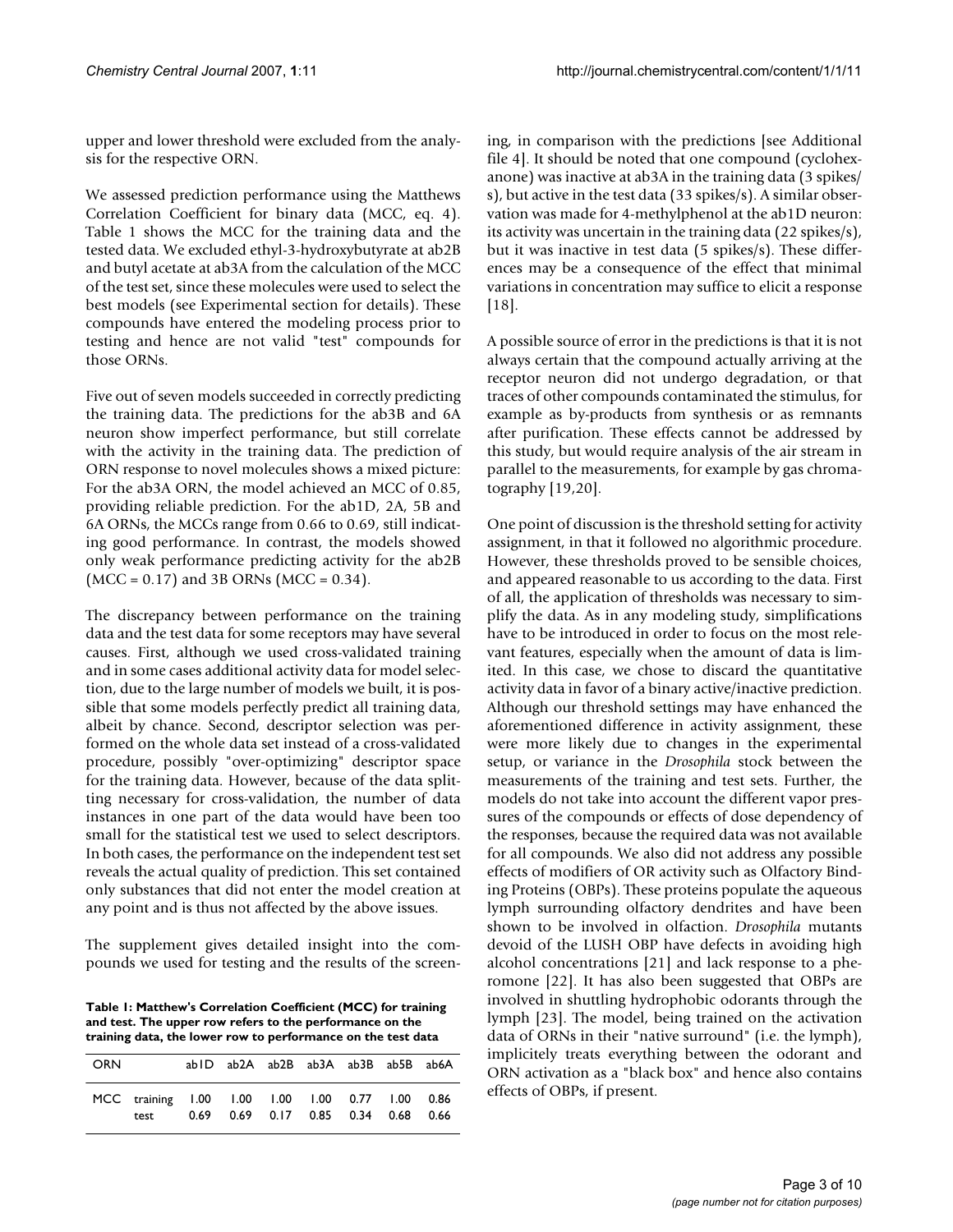upper and lower threshold were excluded from the analysis for the respective ORN.

We assessed prediction performance using the Matthews Correlation Coefficient for binary data (MCC, eq. 4). Table 1 shows the MCC for the training data and the tested data. We excluded ethyl-3-hydroxybutyrate at ab2B and butyl acetate at ab3A from the calculation of the MCC of the test set, since these molecules were used to select the best models (see Experimental section for details). These compounds have entered the modeling process prior to testing and hence are not valid "test" compounds for those ORNs.

Five out of seven models succeeded in correctly predicting the training data. The predictions for the ab3B and 6A neuron show imperfect performance, but still correlate with the activity in the training data. The prediction of ORN response to novel molecules shows a mixed picture: For the ab3A ORN, the model achieved an MCC of 0.85, providing reliable prediction. For the ab1D, 2A, 5B and 6A ORNs, the MCCs range from 0.66 to 0.69, still indicating good performance. In contrast, the models showed only weak performance predicting activity for the ab2B  $(MCC = 0.17)$  and 3B ORNs  $(MCC = 0.34)$ .

The discrepancy between performance on the training data and the test data for some receptors may have several causes. First, although we used cross-validated training and in some cases additional activity data for model selection, due to the large number of models we built, it is possible that some models perfectly predict all training data, albeit by chance. Second, descriptor selection was performed on the whole data set instead of a cross-validated procedure, possibly "over-optimizing" descriptor space for the training data. However, because of the data splitting necessary for cross-validation, the number of data instances in one part of the data would have been too small for the statistical test we used to select descriptors. In both cases, the performance on the independent test set reveals the actual quality of prediction. This set contained only substances that did not enter the model creation at any point and is thus not affected by the above issues.

The supplement gives detailed insight into the compounds we used for testing and the results of the screen-

**Table 1: Matthew's Correlation Coefficient (MCC) for training and test. The upper row refers to the performance on the training data, the lower row to performance on the test data**

| ORN |                                                         |                                          |  | ab1D ab2A ab2B ab3A ab3B ab5B ab6A |  |  |
|-----|---------------------------------------------------------|------------------------------------------|--|------------------------------------|--|--|
|     | MCC training 1.00 1.00 1.00 1.00 0.77 1.00 0.86<br>test | 0.69  0.69  0.17  0.85  0.34  0.68  0.66 |  |                                    |  |  |

ing, in comparison with the predictions [see Additional file 4]. It should be noted that one compound (cyclohexanone) was inactive at ab3A in the training data (3 spikes/ s), but active in the test data (33 spikes/s). A similar observation was made for 4-methylphenol at the ab1D neuron: its activity was uncertain in the training data (22 spikes/s), but it was inactive in test data (5 spikes/s). These differences may be a consequence of the effect that minimal variations in concentration may suffice to elicit a response [[18](#page-9-1)].

A possible source of error in the predictions is that it is not always certain that the compound actually arriving at the receptor neuron did not undergo degradation, or that traces of other compounds contaminated the stimulus, for example as by-products from synthesis or as remnants after purification. These effects cannot be addressed by this study, but would require analysis of the air stream in parallel to the measurements, for example by gas chromatography [19,20].

One point of discussion is the threshold setting for activity assignment, in that it followed no algorithmic procedure. However, these thresholds proved to be sensible choices, and appeared reasonable to us according to the data. First of all, the application of thresholds was necessary to simplify the data. As in any modeling study, simplifications have to be introduced in order to focus on the most relevant features, especially when the amount of data is limited. In this case, we chose to discard the quantitative activity data in favor of a binary active/inactive prediction. Although our threshold settings may have enhanced the aforementioned difference in activity assignment, these were more likely due to changes in the experimental setup, or variance in the *Drosophila* stock between the measurements of the training and test sets. Further, the models do not take into account the different vapor pressures of the compounds or effects of dose dependency of the responses, because the required data was not available for all compounds. We also did not address any possible effects of modifiers of OR activity such as Olfactory Binding Proteins (OBPs). These proteins populate the aqueous lymph surrounding olfactory dendrites and have been shown to be involved in olfaction. *Drosophila* mutants devoid of the LUSH OBP have defects in avoiding high alcohol concentrations [21] and lack response to a pheromone [\[22\]](#page-9-2). It has also been suggested that OBPs are involved in shuttling hydrophobic odorants through the lymph [23]. The model, being trained on the activation data of ORNs in their "native surround" (i.e. the lymph), implicitely treats everything between the odorant and ORN activation as a "black box" and hence also contains effects of OBPs, if present.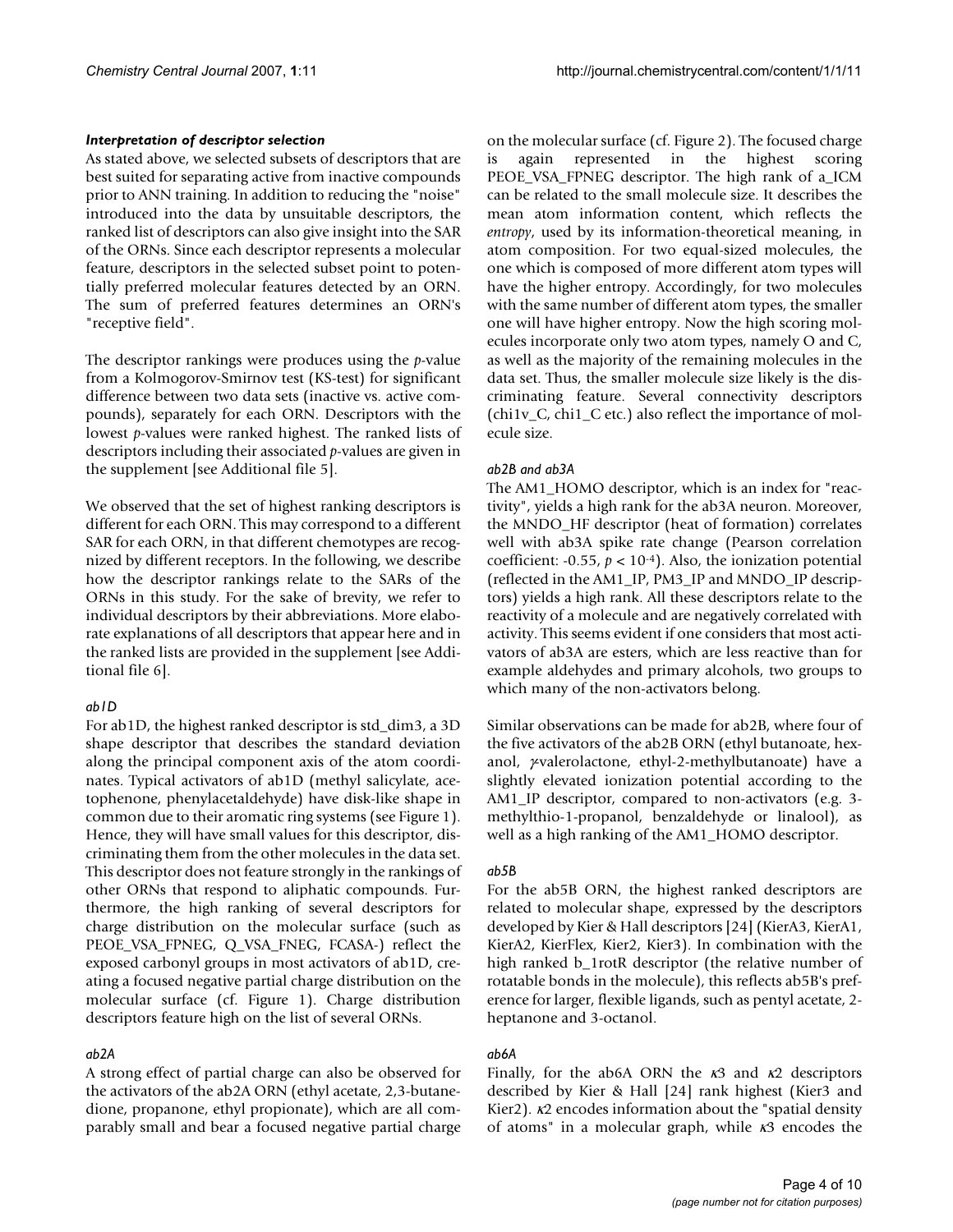#### *Interpretation of descriptor selection*

As stated above, we selected subsets of descriptors that are best suited for separating active from inactive compounds prior to ANN training. In addition to reducing the "noise" introduced into the data by unsuitable descriptors, the ranked list of descriptors can also give insight into the SAR of the ORNs. Since each descriptor represents a molecular feature, descriptors in the selected subset point to potentially preferred molecular features detected by an ORN. The sum of preferred features determines an ORN's "receptive field".

The descriptor rankings were produces using the *p*-value from a Kolmogorov-Smirnov test (KS-test) for significant difference between two data sets (inactive vs. active compounds), separately for each ORN. Descriptors with the lowest *p*-values were ranked highest. The ranked lists of descriptors including their associated *p*-values are given in the supplement [see Additional file 5].

We observed that the set of highest ranking descriptors is different for each ORN. This may correspond to a different SAR for each ORN, in that different chemotypes are recognized by different receptors. In the following, we describe how the descriptor rankings relate to the SARs of the ORNs in this study. For the sake of brevity, we refer to individual descriptors by their abbreviations. More elaborate explanations of all descriptors that appear here and in the ranked lists are provided in the supplement [see Additional file 6].

#### *ab1D*

For ab1D, the highest ranked descriptor is std\_dim3, a 3D shape descriptor that describes the standard deviation along the principal component axis of the atom coordinates. Typical activators of ab1D (methyl salicylate, acetophenone, phenylacetaldehyde) have disk-like shape in common due to their aromatic ring systems (see Figure 1). Hence, they will have small values for this descriptor, discriminating them from the other molecules in the data set. This descriptor does not feature strongly in the rankings of other ORNs that respond to aliphatic compounds. Furthermore, the high ranking of several descriptors for charge distribution on the molecular surface (such as PEOE\_VSA\_FPNEG, Q\_VSA\_FNEG, FCASA-) reflect the exposed carbonyl groups in most activators of ab1D, creating a focused negative partial charge distribution on the molecular surface (cf. Figure 1). Charge distribution descriptors feature high on the list of several ORNs.

#### *ab2A*

A strong effect of partial charge can also be observed for the activators of the ab2A ORN (ethyl acetate, 2,3-butanedione, propanone, ethyl propionate), which are all comparably small and bear a focused negative partial charge on the molecular surface (cf. Figure 2). The focused charge is again represented in the highest scoring PEOE\_VSA\_FPNEG\_descriptor. The high rank of a\_ICM can be related to the small molecule size. It describes the mean atom information content, which reflects the *entropy*, used by its information-theoretical meaning, in atom composition. For two equal-sized molecules, the one which is composed of more different atom types will have the higher entropy. Accordingly, for two molecules with the same number of different atom types, the smaller one will have higher entropy. Now the high scoring molecules incorporate only two atom types, namely O and C, as well as the majority of the remaining molecules in the data set. Thus, the smaller molecule size likely is the discriminating feature. Several connectivity descriptors (chi1v\_C, chi1\_C etc.) also reflect the importance of molecule size.

#### *ab2B and ab3A*

The AM1\_HOMO descriptor, which is an index for "reactivity", yields a high rank for the ab3A neuron. Moreover, the MNDO\_HF descriptor (heat of formation) correlates well with ab3A spike rate change (Pearson correlation coefficient:  $-0.55$ ,  $p < 10^{-4}$ ). Also, the ionization potential (reflected in the AM1\_IP, PM3\_IP and MNDO\_IP descriptors) yields a high rank. All these descriptors relate to the reactivity of a molecule and are negatively correlated with activity. This seems evident if one considers that most activators of ab3A are esters, which are less reactive than for example aldehydes and primary alcohols, two groups to which many of the non-activators belong.

Similar observations can be made for ab2B, where four of the five activators of the ab2B ORN (ethyl butanoate, hexanol, *γ*-valerolactone, ethyl-2-methylbutanoate) have a slightly elevated ionization potential according to the AM1\_IP descriptor, compared to non-activators (e.g. 3 methylthio-1-propanol, benzaldehyde or linalool), as well as a high ranking of the AM1\_HOMO descriptor.

#### *ab5B*

For the ab5B ORN, the highest ranked descriptors are related to molecular shape, expressed by the descriptors developed by Kier & Hall descriptors [24] (KierA3, KierA1, KierA2, KierFlex, Kier2, Kier3). In combination with the high ranked b\_1rotR descriptor (the relative number of rotatable bonds in the molecule), this reflects ab5B's preference for larger, flexible ligands, such as pentyl acetate, 2 heptanone and 3-octanol.

#### *ab6A*

Finally, for the ab6A ORN the  $\kappa$ 3 and  $\kappa$ 2 descriptors described by Kier & Hall [24] rank highest (Kier3 and Kier2). κ2 encodes information about the "spatial density of atoms" in a molecular graph, while κ3 encodes the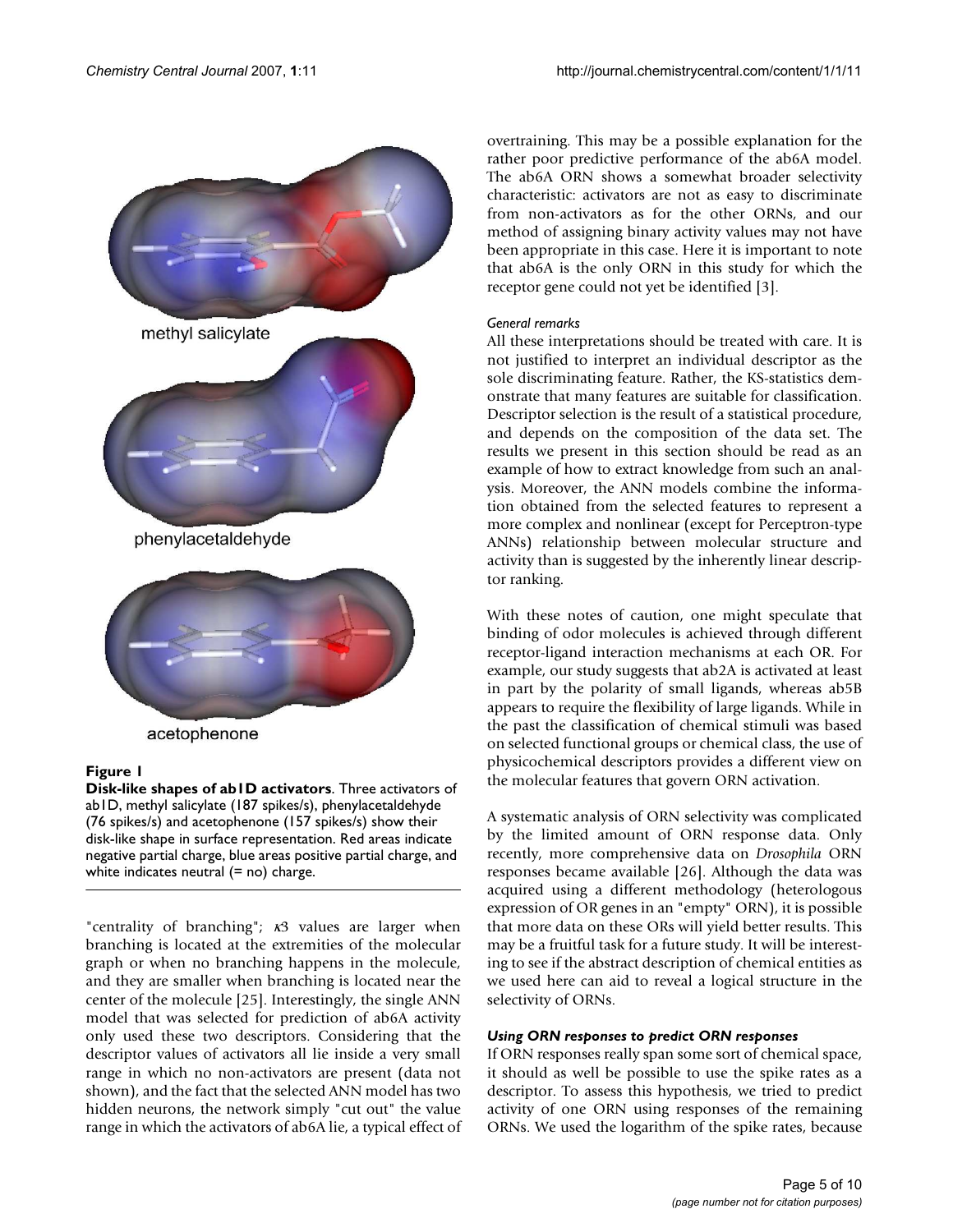

#### **Figure 1**

**Disk-like shapes of ab1D activators**. Three activators of ab1D, methyl salicylate (187 spikes/s), phenylacetaldehyde (76 spikes/s) and acetophenone (157 spikes/s) show their disk-like shape in surface representation. Red areas indicate negative partial charge, blue areas positive partial charge, and white indicates neutral (= no) charge.

"centrality of branching"; κ3 values are larger when branching is located at the extremities of the molecular graph or when no branching happens in the molecule, and they are smaller when branching is located near the center of the molecule [25]. Interestingly, the single ANN model that was selected for prediction of ab6A activity only used these two descriptors. Considering that the descriptor values of activators all lie inside a very small range in which no non-activators are present (data not shown), and the fact that the selected ANN model has two hidden neurons, the network simply "cut out" the value range in which the activators of ab6A lie, a typical effect of overtraining. This may be a possible explanation for the rather poor predictive performance of the ab6A model. The ab6A ORN shows a somewhat broader selectivity characteristic: activators are not as easy to discriminate from non-activators as for the other ORNs, and our method of assigning binary activity values may not have been appropriate in this case. Here it is important to note that ab6A is the only ORN in this study for which the receptor gene could not yet be identified [\[3\]](#page-9-0).

#### *General remarks*

All these interpretations should be treated with care. It is not justified to interpret an individual descriptor as the sole discriminating feature. Rather, the KS-statistics demonstrate that many features are suitable for classification. Descriptor selection is the result of a statistical procedure, and depends on the composition of the data set. The results we present in this section should be read as an example of how to extract knowledge from such an analysis. Moreover, the ANN models combine the information obtained from the selected features to represent a more complex and nonlinear (except for Perceptron-type ANNs) relationship between molecular structure and activity than is suggested by the inherently linear descriptor ranking.

With these notes of caution, one might speculate that binding of odor molecules is achieved through different receptor-ligand interaction mechanisms at each OR. For example, our study suggests that ab2A is activated at least in part by the polarity of small ligands, whereas ab5B appears to require the flexibility of large ligands. While in the past the classification of chemical stimuli was based on selected functional groups or chemical class, the use of physicochemical descriptors provides a different view on the molecular features that govern ORN activation.

A systematic analysis of ORN selectivity was complicated by the limited amount of ORN response data. Only recently, more comprehensive data on *Drosophila* ORN responses became available [26]. Although the data was acquired using a different methodology (heterologous expression of OR genes in an "empty" ORN), it is possible that more data on these ORs will yield better results. This may be a fruitful task for a future study. It will be interesting to see if the abstract description of chemical entities as we used here can aid to reveal a logical structure in the selectivity of ORNs.

#### *Using ORN responses to predict ORN responses*

If ORN responses really span some sort of chemical space, it should as well be possible to use the spike rates as a descriptor. To assess this hypothesis, we tried to predict activity of one ORN using responses of the remaining ORNs. We used the logarithm of the spike rates, because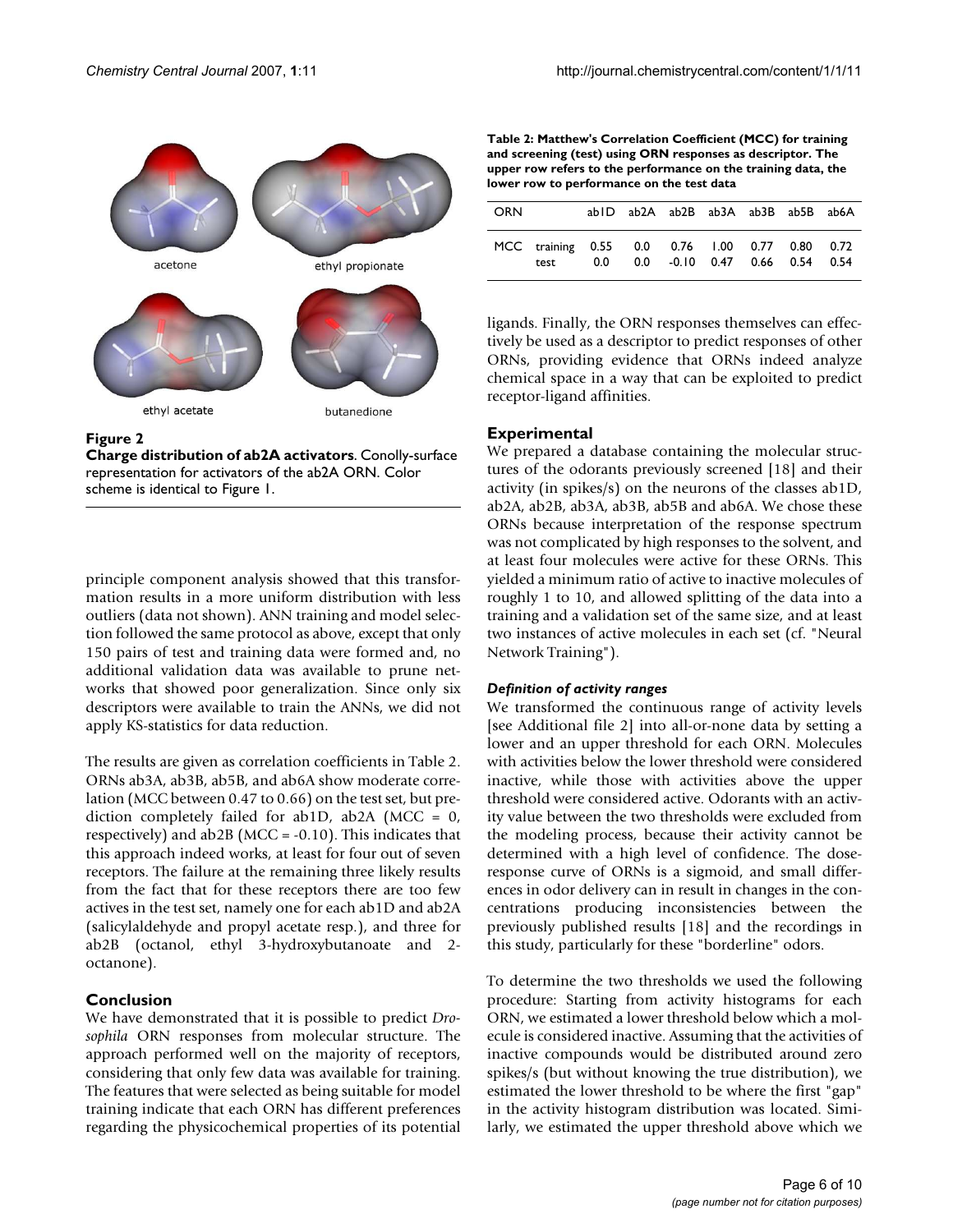

Figure 2

**Charge distribution of ab2A activators**. Conolly-surface representation for activators of the ab2A ORN. Color scheme is identical to Figure 1.

principle component analysis showed that this transformation results in a more uniform distribution with less outliers (data not shown). ANN training and model selection followed the same protocol as above, except that only 150 pairs of test and training data were formed and, no additional validation data was available to prune networks that showed poor generalization. Since only six descriptors were available to train the ANNs, we did not apply KS-statistics for data reduction.

The results are given as correlation coefficients in Table 2. ORNs ab3A, ab3B, ab5B, and ab6A show moderate correlation (MCC between 0.47 to 0.66) on the test set, but prediction completely failed for ab1D, ab2A (MCC = 0, respectively) and ab2B (MCC = -0.10). This indicates that this approach indeed works, at least for four out of seven receptors. The failure at the remaining three likely results from the fact that for these receptors there are too few actives in the test set, namely one for each ab1D and ab2A (salicylaldehyde and propyl acetate resp.), and three for ab2B (octanol, ethyl 3-hydroxybutanoate and 2 octanone).

#### **Conclusion**

We have demonstrated that it is possible to predict *Drosophila* ORN responses from molecular structure. The approach performed well on the majority of receptors, considering that only few data was available for training. The features that were selected as being suitable for model training indicate that each ORN has different preferences regarding the physicochemical properties of its potential

**Table 2: Matthew's Correlation Coefficient (MCC) for training and screening (test) using ORN responses as descriptor. The upper row refers to the performance on the training data, the lower row to performance on the test data**

| ORN |                                                        |     |  | ab1D ab2A ab2B ab3A ab3B ab5B ab6A |  |  |
|-----|--------------------------------------------------------|-----|--|------------------------------------|--|--|
|     | MCC training 0.55 0.0 0.76 1.00 0.77 0.80 0.72<br>test | 0.0 |  | 0.0 -0.10 0.47 0.66 0.54 0.54      |  |  |

ligands. Finally, the ORN responses themselves can effectively be used as a descriptor to predict responses of other ORNs, providing evidence that ORNs indeed analyze chemical space in a way that can be exploited to predict receptor-ligand affinities.

#### **Experimental**

We prepared a database containing the molecular structures of the odorants previously screened [\[18\]](#page-9-1) and their activity (in spikes/s) on the neurons of the classes ab1D, ab2A, ab2B, ab3A, ab3B, ab5B and ab6A. We chose these ORNs because interpretation of the response spectrum was not complicated by high responses to the solvent, and at least four molecules were active for these ORNs. This yielded a minimum ratio of active to inactive molecules of roughly 1 to 10, and allowed splitting of the data into a training and a validation set of the same size, and at least two instances of active molecules in each set (cf. "Neural Network Training").

#### *Definition of activity ranges*

We transformed the continuous range of activity levels [see Additional file 2] into all-or-none data by setting a lower and an upper threshold for each ORN. Molecules with activities below the lower threshold were considered inactive, while those with activities above the upper threshold were considered active. Odorants with an activity value between the two thresholds were excluded from the modeling process, because their activity cannot be determined with a high level of confidence. The doseresponse curve of ORNs is a sigmoid, and small differences in odor delivery can in result in changes in the concentrations producing inconsistencies between the previously published results [[18](#page-9-1)] and the recordings in this study, particularly for these "borderline" odors.

To determine the two thresholds we used the following procedure: Starting from activity histograms for each ORN, we estimated a lower threshold below which a molecule is considered inactive. Assuming that the activities of inactive compounds would be distributed around zero spikes/s (but without knowing the true distribution), we estimated the lower threshold to be where the first "gap" in the activity histogram distribution was located. Similarly, we estimated the upper threshold above which we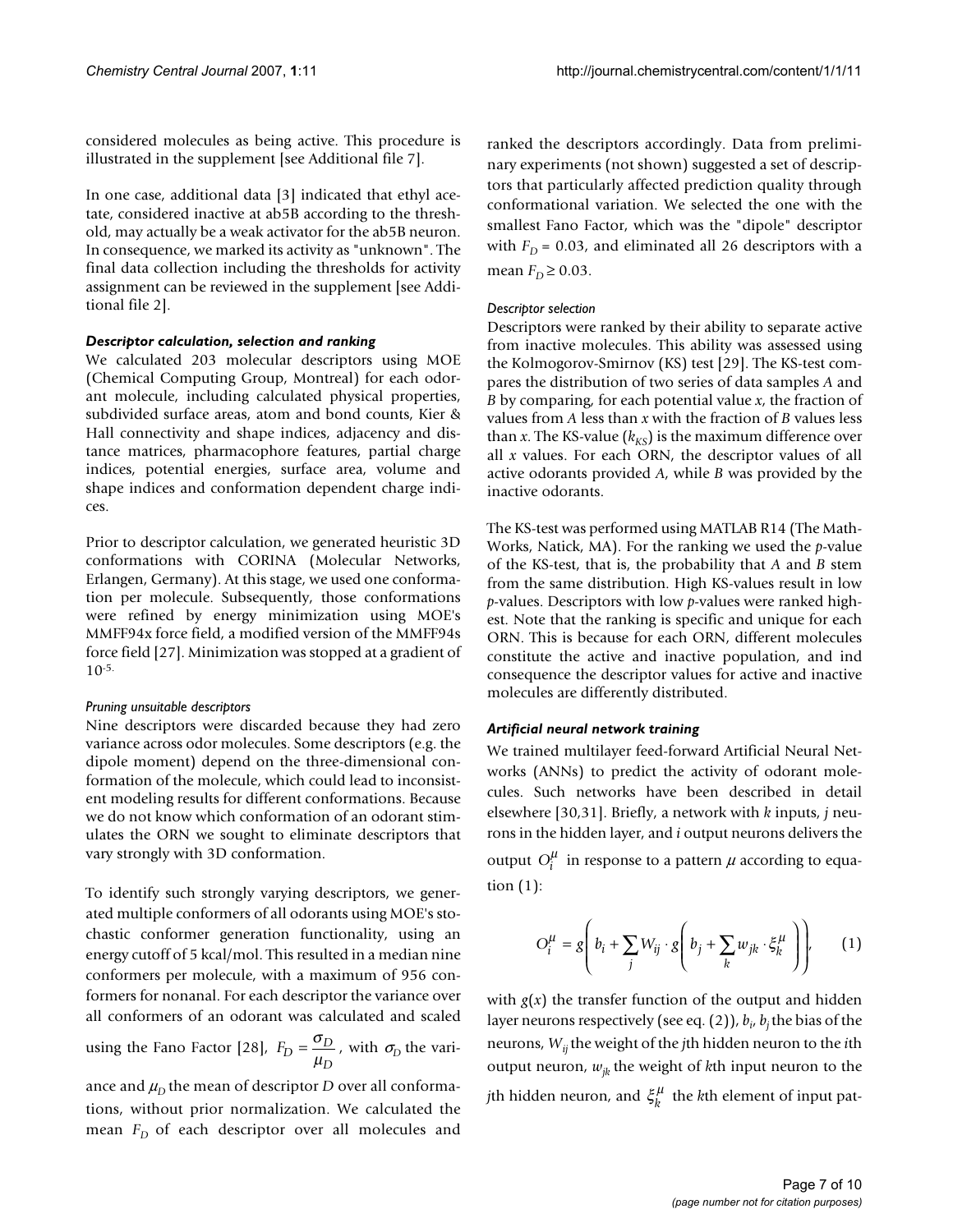considered molecules as being active. This procedure is illustrated in the supplement [see Additional file 7].

In one case, additional data [\[3\]](#page-9-0) indicated that ethyl acetate, considered inactive at ab5B according to the threshold, may actually be a weak activator for the ab5B neuron. In consequence, we marked its activity as "unknown". The final data collection including the thresholds for activity assignment can be reviewed in the supplement [see Additional file 2].

#### *Descriptor calculation, selection and ranking*

We calculated 203 molecular descriptors using MOE (Chemical Computing Group, Montreal) for each odorant molecule, including calculated physical properties, subdivided surface areas, atom and bond counts, Kier & Hall connectivity and shape indices, adjacency and distance matrices, pharmacophore features, partial charge indices, potential energies, surface area, volume and shape indices and conformation dependent charge indices.

Prior to descriptor calculation, we generated heuristic 3D conformations with CORINA (Molecular Networks, Erlangen, Germany). At this stage, we used one conformation per molecule. Subsequently, those conformations were refined by energy minimization using MOE's MMFF94x force field, a modified version of the MMFF94s force field [27]. Minimization was stopped at a gradient of  $10^{-5}$ 

#### *Pruning unsuitable descriptors*

Nine descriptors were discarded because they had zero variance across odor molecules. Some descriptors (e.g. the dipole moment) depend on the three-dimensional conformation of the molecule, which could lead to inconsistent modeling results for different conformations. Because we do not know which conformation of an odorant stimulates the ORN we sought to eliminate descriptors that vary strongly with 3D conformation.

To identify such strongly varying descriptors, we generated multiple conformers of all odorants using MOE's stochastic conformer generation functionality, using an energy cutoff of 5 kcal/mol. This resulted in a median nine conformers per molecule, with a maximum of 956 conformers for nonanal. For each descriptor the variance over all conformers of an odorant was calculated and scaled

using the Fano Factor [28],  $F_D = \frac{\sigma_D}{\mu}$ , with  $\sigma_D$  the vari-*D*  $=\frac{\sigma}{\sqrt{2}}$  $\mu$ 

ance and  $\mu_D$  the mean of descriptor *D* over all conformations, without prior normalization. We calculated the mean  $F<sub>D</sub>$  of each descriptor over all molecules and

ranked the descriptors accordingly. Data from preliminary experiments (not shown) suggested a set of descriptors that particularly affected prediction quality through conformational variation. We selected the one with the smallest Fano Factor, which was the "dipole" descriptor with  $F_D$  = 0.03, and eliminated all 26 descriptors with a mean  $F_D \geq 0.03$ .

#### *Descriptor selection*

Descriptors were ranked by their ability to separate active from inactive molecules. This ability was assessed using the Kolmogorov-Smirnov (KS) test [29]. The KS-test compares the distribution of two series of data samples *A* and *B* by comparing, for each potential value *x*, the fraction of values from *A* less than *x* with the fraction of *B* values less than *x*. The KS-value  $(k_{KS})$  is the maximum difference over all *x* values. For each ORN, the descriptor values of all active odorants provided *A*, while *B* was provided by the inactive odorants.

The KS-test was performed using MATLAB R14 (The Math-Works, Natick, MA). For the ranking we used the *p*-value of the KS-test, that is, the probability that *A* and *B* stem from the same distribution. High KS-values result in low *p*-values. Descriptors with low *p*-values were ranked highest. Note that the ranking is specific and unique for each ORN. This is because for each ORN, different molecules constitute the active and inactive population, and ind consequence the descriptor values for active and inactive molecules are differently distributed.

#### *Artificial neural network training*

We trained multilayer feed-forward Artificial Neural Networks (ANNs) to predict the activity of odorant molecules. Such networks have been described in detail elsewhere [30,31]. Briefly, a network with *k* inputs, *j* neurons in the hidden layer, and *i* output neurons delivers the output  $O_i^{\mu}$  in response to a pattern  $\mu$  according to equation (1):

$$
O_i^{\mu} = g\left(b_i + \sum_j W_{ij} \cdot g\left(b_j + \sum_k w_{jk} \cdot \xi_k^{\mu}\right)\right), \qquad (1)
$$

with  $g(x)$  the transfer function of the output and hidden layer neurons respectively (see eq. (2)), *b<sup>i</sup>* , *bj* the bias of the neurons, *Wij* the weight of the *j*th hidden neuron to the *i*th output neuron,  $w_{jk}$  the weight of *k*th input neuron to the *j*th hidden neuron, and  $\xi_k^{\mu}$  the *k*th element of input pat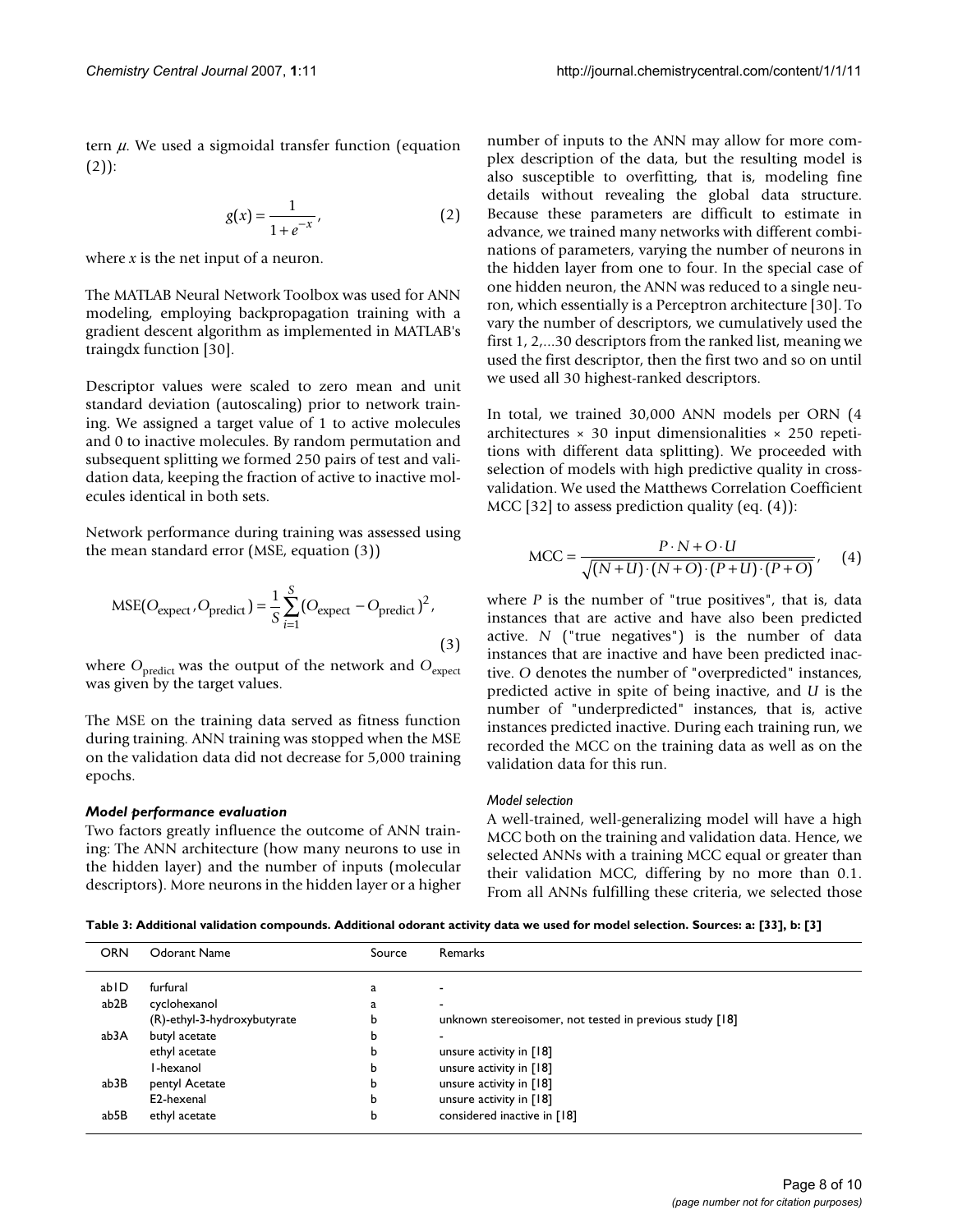tern  $\mu$ . We used a sigmoidal transfer function (equation  $(2)$ :

$$
g(x) = \frac{1}{1 + e^{-x}},
$$
 (2)

where *x* is the net input of a neuron.

The MATLAB Neural Network Toolbox was used for ANN modeling, employing backpropagation training with a gradient descent algorithm as implemented in MATLAB's traingdx function [30].

Descriptor values were scaled to zero mean and unit standard deviation (autoscaling) prior to network training. We assigned a target value of 1 to active molecules and 0 to inactive molecules. By random permutation and subsequent splitting we formed 250 pairs of test and validation data, keeping the fraction of active to inactive molecules identical in both sets.

Network performance during training was assessed using the mean standard error (MSE, equation (3))

$$
MSE(O_{\text{expect}}, O_{\text{predict}}) = \frac{1}{S} \sum_{i=1}^{S} (O_{\text{expect}} - O_{\text{predict}})^2,
$$
\n(3)

where *O*<sub>predict</sub> was the output of the network and *O*<sub>expect</sub> was given by the target values.

The MSE on the training data served as fitness function during training. ANN training was stopped when the MSE on the validation data did not decrease for 5,000 training epochs.

#### *Model performance evaluation*

Two factors greatly influence the outcome of ANN training: The ANN architecture (how many neurons to use in the hidden layer) and the number of inputs (molecular descriptors). More neurons in the hidden layer or a higher number of inputs to the ANN may allow for more complex description of the data, but the resulting model is also susceptible to overfitting, that is, modeling fine details without revealing the global data structure. Because these parameters are difficult to estimate in advance, we trained many networks with different combinations of parameters, varying the number of neurons in the hidden layer from one to four. In the special case of one hidden neuron, the ANN was reduced to a single neuron, which essentially is a Perceptron architecture [30]. To vary the number of descriptors, we cumulatively used the first 1, 2,...30 descriptors from the ranked list, meaning we used the first descriptor, then the first two and so on until we used all 30 highest-ranked descriptors.

In total, we trained 30,000 ANN models per ORN (4 architectures × 30 input dimensionalities × 250 repetitions with different data splitting). We proceeded with selection of models with high predictive quality in crossvalidation. We used the Matthews Correlation Coefficient MCC [32] to assess prediction quality (eq. (4)):

$$
MCC = \frac{P \cdot N + O \cdot U}{\sqrt{(N+U) \cdot (N+O) \cdot (P+U) \cdot (P+O)}},
$$
 (4)

where *P* is the number of "true positives", that is, data instances that are active and have also been predicted active. *N* ("true negatives") is the number of data instances that are inactive and have been predicted inactive. *O* denotes the number of "overpredicted" instances, predicted active in spite of being inactive, and *U* is the number of "underpredicted" instances, that is, active instances predicted inactive. During each training run, we recorded the MCC on the training data as well as on the validation data for this run.

#### *Model selection*

A well-trained, well-generalizing model will have a high MCC both on the training and validation data. Hence, we selected ANNs with a training MCC equal or greater than their validation MCC, differing by no more than 0.1. From all ANNs fulfilling these criteria, we selected those

**Table 3: Additional validation compounds. Additional odorant activity data we used for model selection. Sources: a: [33], b: [3]**

| <b>ORN</b> | Odorant Name                | Source | Remarks                                                 |
|------------|-----------------------------|--------|---------------------------------------------------------|
| abID       | furfural                    | a      |                                                         |
| ab2B       | cyclohexanol                | a      |                                                         |
|            | (R)-ethyl-3-hydroxybutyrate | b      | unknown stereoisomer, not tested in previous study [18] |
| ab3A       | butyl acetate               | b      |                                                         |
|            | ethyl acetate               | b      | unsure activity in $[18]$                               |
|            | I-hexanol                   | b      | unsure activity in $[18]$                               |
| ab3B       | pentyl Acetate              | b      | unsure activity in $[18]$                               |
|            | E2-hexenal                  | b      | unsure activity in $[18]$                               |
| ab5B       | ethyl acetate               | b      | considered inactive in [18]                             |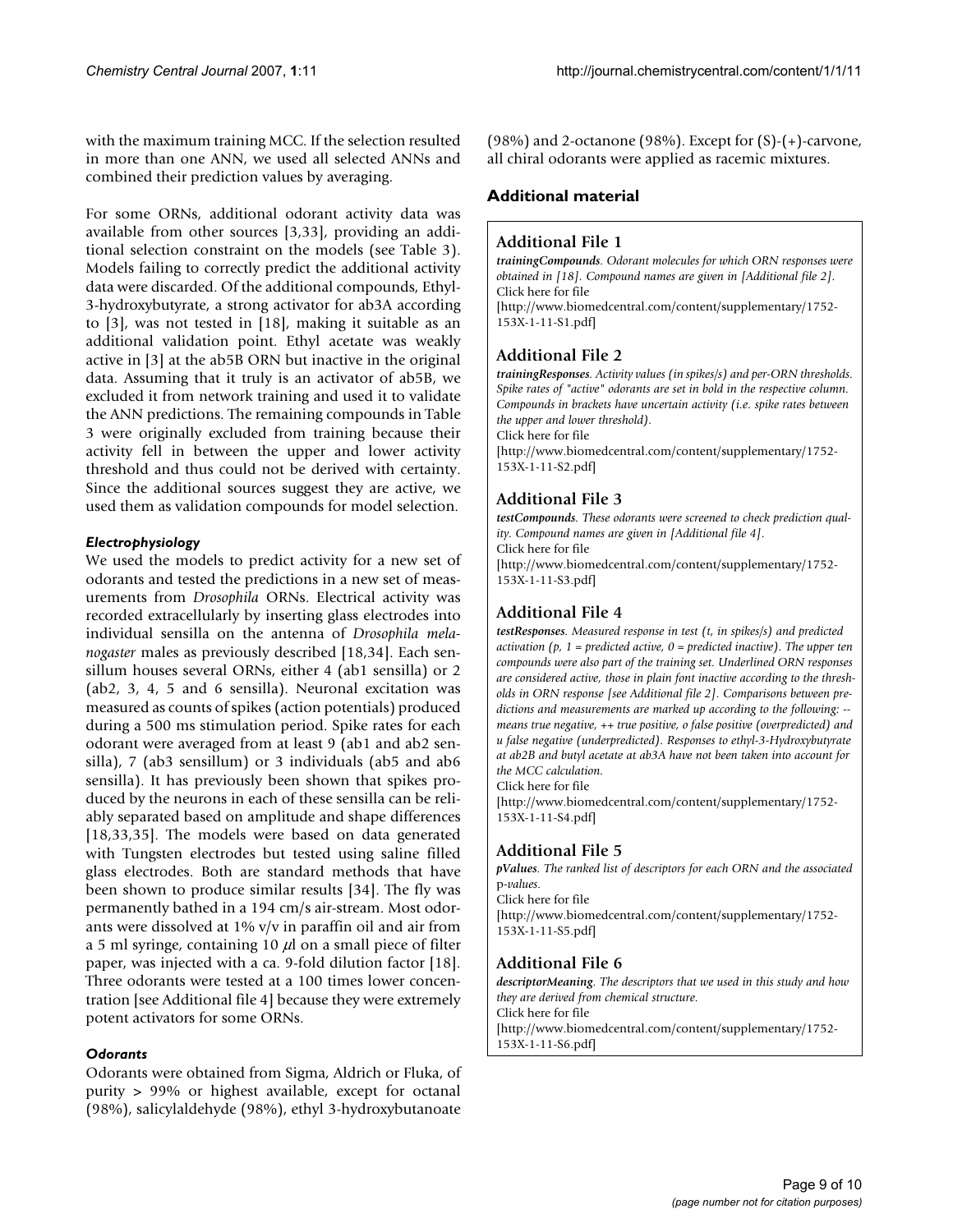with the maximum training MCC. If the selection resulted in more than one ANN, we used all selected ANNs and combined their prediction values by averaging.

For some ORNs, additional odorant activity data was available from other sources [\[3](#page-9-0),33], providing an additional selection constraint on the models (see Table 3). Models failing to correctly predict the additional activity data were discarded. Of the additional compounds, Ethyl-3-hydroxybutyrate, a strong activator for ab3A according to [\[3\]](#page-9-0), was not tested in [\[18](#page-9-1)], making it suitable as an additional validation point. Ethyl acetate was weakly active in [[3](#page-9-0)] at the ab5B ORN but inactive in the original data. Assuming that it truly is an activator of ab5B, we excluded it from network training and used it to validate the ANN predictions. The remaining compounds in Table 3 were originally excluded from training because their activity fell in between the upper and lower activity threshold and thus could not be derived with certainty. Since the additional sources suggest they are active, we used them as validation compounds for model selection.

#### <span id="page-9-0"></span>*Electrophysiology*

We used the models to predict activity for a new set of odorants and tested the predictions in a new set of measurements from *Drosophila* ORNs. Electrical activity was recorded extracellularly by inserting glass electrodes into individual sensilla on the antenna of *Drosophila melanogaster* males as previously described [[18,](#page-9-1)[34\]](#page-9-3). Each sensillum houses several ORNs, either 4 (ab1 sensilla) or 2 (ab2, 3, 4, 5 and 6 sensilla). Neuronal excitation was measured as counts of spikes (action potentials) produced during a 500 ms stimulation period. Spike rates for each odorant were averaged from at least 9 (ab1 and ab2 sensilla), 7 (ab3 sensillum) or 3 individuals (ab5 and ab6 sensilla). It has previously been shown that spikes produced by the neurons in each of these sensilla can be reliably separated based on amplitude and shape differences [[18](#page-9-1),33[,35](#page-9-4)]. The models were based on data generated with Tungsten electrodes but tested using saline filled glass electrodes. Both are standard methods that have been shown to produce similar results [\[34\]](#page-9-3). The fly was permanently bathed in a 194 cm/s air-stream. Most odorants were dissolved at 1% v/v in paraffin oil and air from a 5 ml syringe, containing 10  $\mu$ l on a small piece of filter paper, was injected with a ca. 9-fold dilution factor [\[18](#page-9-1)]. Three odorants were tested at a 100 times lower concentration [see Additional file 4] because they were extremely potent activators for some ORNs.

#### *Odorants*

Odorants were obtained from Sigma, Aldrich or Fluka, of purity > 99% or highest available, except for octanal (98%), salicylaldehyde (98%), ethyl 3-hydroxybutanoate (98%) and 2-octanone (98%). Except for  $(S)-(+)$ -carvone, all chiral odorants were applied as racemic mixtures.

#### <span id="page-9-1"></span>**Additional material**

#### **Additional File 1**

*trainingCompounds. Odorant molecules for which ORN responses were obtained in [[18](#page-9-1)]. Compound names are given in [Additional file 2].* Click here for file [\[http://www.biomedcentral.com/content/supplementary/1752-](http://www.biomedcentral.com/content/supplementary/1752-153X-1-11-S1.pdf) 153X-1-11-S1.pdf]

## <span id="page-9-2"></span>**Additional File 2**

*trainingResponses. Activity values (in spikes/s) and per-ORN thresholds. Spike rates of "active" odorants are set in bold in the respective column. Compounds in brackets have uncertain activity (i.e. spike rates between the upper and lower threshold).*

Click here for file

[\[http://www.biomedcentral.com/content/supplementary/1752-](http://www.biomedcentral.com/content/supplementary/1752-153X-1-11-S2.pdf) 153X-1-11-S2.pdf]

#### **Additional File 3**

*testCompounds. These odorants were screened to check prediction quality. Compound names are given in [Additional file 4].* Click here for file [\[http://www.biomedcentral.com/content/supplementary/1752-](http://www.biomedcentral.com/content/supplementary/1752-153X-1-11-S3.pdf)

153X-1-11-S3.pdf]

#### **Additional File 4**

*testResponses. Measured response in test (t, in spikes/s) and predicted activation (p, 1 = predicted active, 0 = predicted inactive). The upper ten compounds were also part of the training set. Underlined ORN responses are considered active, those in plain font inactive according to the thresholds in ORN response [see Additional file 2]. Comparisons between predictions and measurements are marked up according to the following: - means true negative, ++ true positive, o false positive (overpredicted) and u false negative (underpredicted). Responses to ethyl-3-Hydroxybutyrate at ab2B and butyl acetate at ab3A have not been taken into account for the MCC calculation.*

<span id="page-9-4"></span><span id="page-9-3"></span>Click here for file

[\[http://www.biomedcentral.com/content/supplementary/1752-](http://www.biomedcentral.com/content/supplementary/1752-153X-1-11-S4.pdf) 153X-1-11-S4.pdf]

#### **Additional File 5**

*pValues. The ranked list of descriptors for each ORN and the associated*  p*-values.* Click here for file

[\[http://www.biomedcentral.com/content/supplementary/1752-](http://www.biomedcentral.com/content/supplementary/1752-153X-1-11-S5.pdf) 153X-1-11-S5.pdf]

#### **Additional File 6**

*descriptorMeaning. The descriptors that we used in this study and how they are derived from chemical structure.* Click here for file [\[http://www.biomedcentral.com/content/supplementary/1752-](http://www.biomedcentral.com/content/supplementary/1752-153X-1-11-S6.pdf) 153X-1-11-S6.pdf]